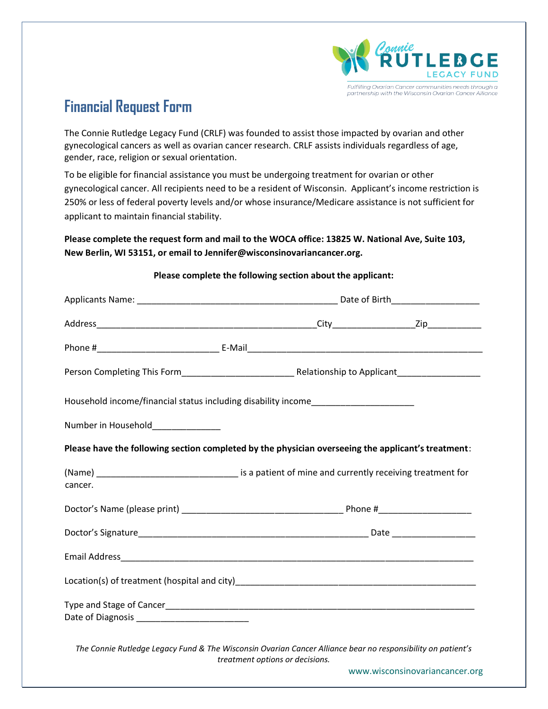

## **Financial Request Form**

The Connie Rutledge Legacy Fund (CRLF) was founded to assist those impacted by ovarian and other gynecological cancers as well as ovarian cancer research. CRLF assists individuals regardless of age, gender, race, religion or sexual orientation.

To be eligible for financial assistance you must be undergoing treatment for ovarian or other gynecological cancer. All recipients need to be a resident of Wisconsin. Applicant's income restriction is 250% or less of federal poverty levels and/or whose insurance/Medicare assistance is not sufficient for applicant to maintain financial stability.

## **Please complete the request form and mail to the WOCA office: 13825 W. National Ave, Suite 103, New Berlin, WI 53151, or email to Jennifer@wisconsinovariancancer.org.**

| Household income/financial status including disability income___________________                            |                                 |  |                                |  |
|-------------------------------------------------------------------------------------------------------------|---------------------------------|--|--------------------------------|--|
| Number in Household_____________                                                                            |                                 |  |                                |  |
| Please have the following section completed by the physician overseeing the applicant's treatment:          |                                 |  |                                |  |
| cancer.                                                                                                     |                                 |  |                                |  |
|                                                                                                             |                                 |  |                                |  |
|                                                                                                             |                                 |  |                                |  |
|                                                                                                             |                                 |  |                                |  |
|                                                                                                             |                                 |  |                                |  |
|                                                                                                             |                                 |  |                                |  |
| The Connie Rutledge Legacy Fund & The Wisconsin Ovarian Cancer Alliance bear no responsibility on patient's | treatment options or decisions. |  |                                |  |
|                                                                                                             |                                 |  | www.wisconsinovariancancer.org |  |

## **Please complete the following section about the applicant:**